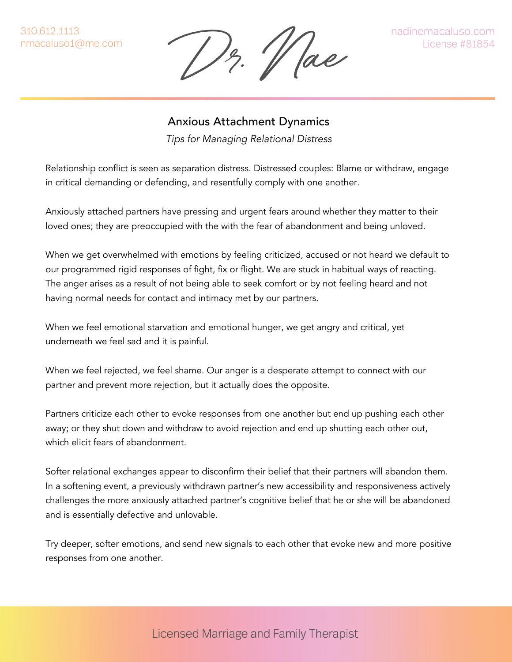310.612.1113 nmacaluso1@me.com

12. Vae

nadinemacaluso.com **License #81854** 

## Anxious Attachment Dynamics

*Tips for Managing Relational Distress*

Relationship conflict is seen as separation distress. Distressed couples: Blame or withdraw, engage in critical demanding or defending, and resentfully comply with one another.

Anxiously attached partners have pressing and urgent fears around whether they matter to their loved ones; they are preoccupied with the with the fear of abandonment and being unloved.

When we get overwhelmed with emotions by feeling criticized, accused or not heard we default to our programmed rigid responses of fight, fix or flight. We are stuck in habitual ways of reacting. The anger arises as a result of not being able to seek comfort or by not feeling heard and not having normal needs for contact and intimacy met by our partners.

When we feel emotional starvation and emotional hunger, we get angry and critical, yet underneath we feel sad and it is painful.

When we feel rejected, we feel shame. Our anger is a desperate attempt to connect with our partner and prevent more rejection, but it actually does the opposite.

Partners criticize each other to evoke responses from one another but end up pushing each other away; or they shut down and withdraw to avoid rejection and end up shutting each other out, which elicit fears of abandonment.

Softer relational exchanges appear to disconfirm their belief that their partners will abandon them. In a softening event, a previously withdrawn partner's new accessibility and responsiveness actively challenges the more anxiously attached partner's cognitive belief that he or she will be abandoned and is essentially defective and unlovable.

Try deeper, softer emotions, and send new signals to each other that evoke new and more positive responses from one another.